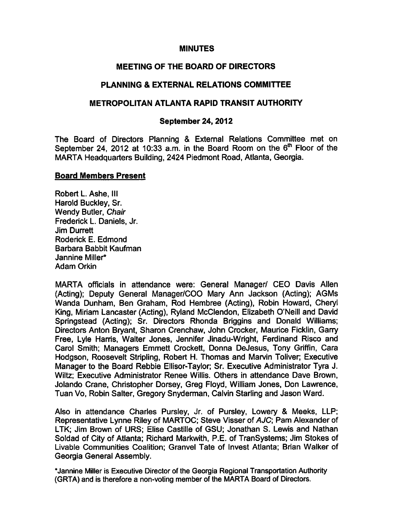### MINUTES

# MEETING OF THE BOARD OF DIRECTORS

# PLANNING EXTERNAL RELATIONS COMMITTEE

### METROPOLITAN ATLANTA RAPID TRANSIT AUTHORITY

#### September 24, 2012

The Board of Directors Planning & External Relations Committee met on September 24, 2012 at 10:33 a.m. in the Board Room on the  $6<sup>th</sup>$  Floor of the MARTA Headquarters Building, 2424 Piedmont Road, Atlanta, Georgia.

#### Board Members Present

Robert L. Ashe, III Harold Buckley, Sr. Wendy Butler, Chair Frederick L. Daniels, Jr. Jim Durrett Roderick E. Edmond Barbara Babbit Kaufman Jannine Miller\* Adam Orkin

MARTA officials in attendance were: General Manager/ CEO Davis Allen (Acting); Deputy General Manager/COO Mary Ann Jackson (Acting); AGMs Wanda Dunham, Ben Graham, Rod Hembree (Acting), Robin Howard, Cheryl King, Miriam Lancaster (Acting), Ryland McClendon, Elizabeth O'Neill and David Springstead (Acting); Sr. Directors Rhonda Briggins and Donald Williams; Directors Anton Bryant, Sharon Crenchaw, John Crocker, Maurice Ficklin, Garry Free, Lyle Harris, Walter Jones, Jennifer Jinadu-Wright, Ferdinand Risco and Carol Smith; Managers Emmett Crockett, Donna DeJesus, Tony Griffin, Cara Hodgson, Roosevelt Stripling, Robert H. Thomas and Marvin Toliver; Executive Manager to the Board Rebbie Ellisor-Taylor; Sr. Executive Administrator Tyra J. Wiltz; Executive Administrator Renee Willis. Others in attendance Dave Brown, Jolando Crane, Christopher Dorsey, Greg Floyd, William Jones, Don Lawrence, Tuan Vo, Robin Salter, Gregory Snyderman, Calvin Starling and Jason Ward.

Also in attendance Charles Pursley, Jr. of Pursley, Lowery & Meeks, LLP; Representative Lynne Riley of MARTOC; Steve Visser of AJC; Pam Alexander of LTK; Jim Brown of URS; Elise Castille of GSU; Jonathan S. Lewis and Nathan Soldad of City of Atlanta; Richard Markwith, P.E. of TranSystems; Jim Stokes of Livable Communities Coalition; Granvel Tate of Invest Atlanta; Brian Walker of Georgia General Assembly.

\*Jannine Miller is Executive Director of the Georgia Regional Transportation Authority (GRTA) and is therefore a non-voting member of the MARTA Board of Directors.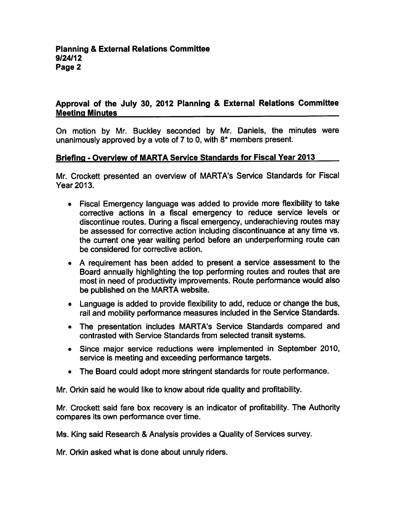# Approval of the July 30, 2012 Planning & External Relations Committee Meeting Minutes

On motion by Mr. Buckley seconded by Mr. Daniels, the minutes were unanimously approved by a vote of  $7$  to 0, with  $8*$  members present.

#### Briefing - Overview of MARTA Service Standards for Fiscal Year 2013

Mr. Crockett presented an overview of MARTA's Service Standards for Fiscal Year 2013.

- Fiscal Emergency language was added to provide more flexibility to take corrective actions in a fiscal emergency to reduce service levels or discontinue routes. During a fiscal emergency, underachieving routes may be assessed for corrective action including discontinuance at any time vs. the current one year waiting period before an underperforming route can be considered for corrective action.
- A requirement has been added to present a service assessment to the Board annually highlighting the top performing routes and routes that are most in need of productivity improvements. Route performance would also be published on the MARTA website.
- Language is added to provide flexibility to add, reduce or change the bus, rail and mobility performance measures included in the Service Standards.
- The presentation includes MARTA's Service Standards compared and contrasted with Service Standards from selected transit systems.
- Since major service reductions were implemented in September 2010, service is meeting and exceeding performance targets.
- The Board could adopt more stringent standards for route performance.

Mr. Orkin said he would like to know about ride quality and profitability.

Mr. Crockett said fare box recovery is an indicator of profitability. The Authority compares its own performance over time.

Ms. King said Research & Analysis provides a Quality of Services survey.

Mr. Orkin asked what is done about unruly riders.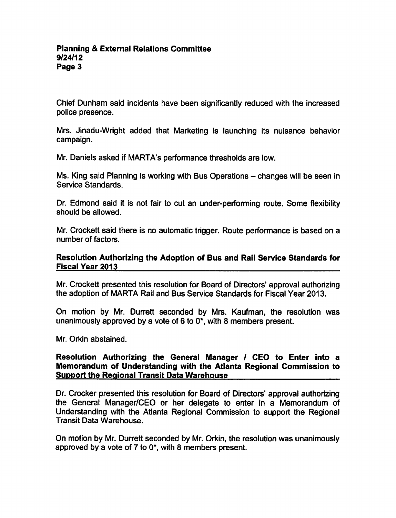Chief Dunham said incidents have been significantly reduced with the increased police presence.

Mrs. Jinadu-Wright added that Marketing is launching its nuisance behavior campaign.

Mr. Daniels asked if MARTA's performance thresholds are low.

Ms. King said Planning is working with Bus Operations – changes will be seen in Service Standards.

Dr. Edmond said it is not fair to cut an under-performing route. Some flexibility should be allowed.

Mr. Crockett said there is no automatic trigger. Route performance is based on number of factors.

#### Resolution Authorizing the Adoption of Bus and Rail Service Standards for Fiscal Year 2013

Mr. Crockett presented this resolution for Board of Directors' approval authorizing the adoption of MARTA Rail and Bus Service Standards for Fiscal Year 2013.

On motion by Mr. Durrett seconded by Mrs. Kaufman, the resolution was unanimously approved by a vote of 6 to  $0^*$ , with 8 members present.

Mr. Orkin abstained.

### Resolution Authorizing the General Manager / CEO to Enter into a Memorandum of Understanding with the Atlanta Regional Commission to **Support the Regional Transit Data Warehouse**

Dr. Crocker presented this resolution for Board of Directors' approval authorizing the General Manager/CEO or her delegate to enter in a Memorandum of Understanding with the Atlanta Regional Commission to support the Regional Transit Data Warehouse.

On motion by Mr. Durrett seconded by Mr. Orkin, the resolution was unanimously approved by a vote of 7 to  $0^*$ , with 8 members present.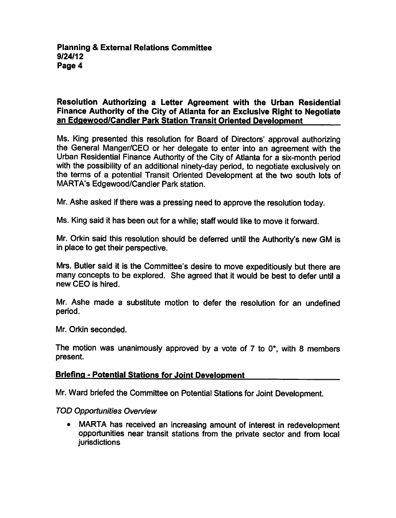# Resolution Authorizing a Letter Agreement with the Urban Residential Finance Authority of the City of Atlanta for an Exclusive Right to Negotiate an Edqewood/Candler Park Station Transit Oriented Development

Ms. King presented this resolution for Board of Directors' approval authorizing the General Manger/CEO or her delegate to enter into an agreement with the Urban Residential Finance Authority of the City of Atlanta for a six-month period with the possibility of an additional ninety-day period, to negotiate exclusively on the terms of a potential Transit Oriented Development at the two south lots of MARTA's Edgewood/Candler Park station.

Mr. Ashe asked if there was a pressing need to approve the resolution today.

Ms. King said it has been out for a while; staff would like to move it forward.

Mr. Orkin said this resolution should be deferred until the Authority's new GM is in place to get their perspective.

Mrs. Butler said it is the Committee's desire to move expeditiously but there are many concepts to be explored. She agreed that it would be best to defer until new CEO is hired.

Mr. Ashe made a substitute motion to defer the resolution for an undefined period.

Mr. Orkin seconded.

The motion was unanimously approved by a vote of  $7$  to  $0^*$ , with 8 members present.

## **Briefing - Potential Stations for Joint Development**

Mr. Ward briefed the Committee on Potential Stations for Joint Development.

#### TOD Opportunities Overview

MARTA has received an increasing amount of interest in redevelopment  $\bullet$ opportunities near transit stations from the private sector and from local jurisdictions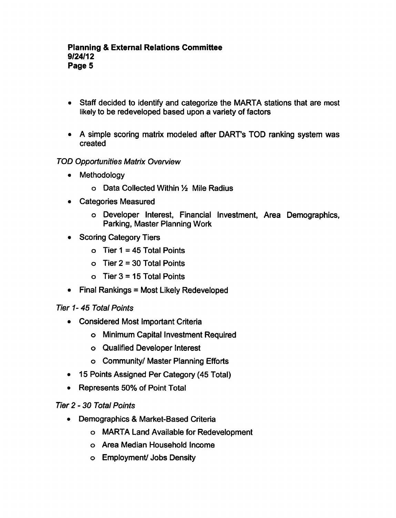- Staff decided to identify and categorize the MARTA stations that are most likely to be redeveloped based upon a variety of factors
- A simple scoring matrix modeled after DART's TOD ranking system was created

# TOD Opportunities Matrix Overview

- Methodology  $\bullet$ 
	- o Data Collected Within 1/2 Mile Radius
- Categories Measured  $\bullet$ 
	- Developer Interest, Financial Investment, Area Demographics, Parking, Master Planning Work
- Scoring Category Tiers
	- $\circ$  Tier 1 = 45 Total Points
	- $\circ$  Tier 2 = 30 Total Points
	- o Tier  $3 = 15$  Total Points
- $\bullet$  Final Rankings = Most Likely Redeveloped

# Tier 1- 45 Total Points

- Considered Most Important Criteria
	- Minimum Capital Investment Required
	- Qualified Developer Interest
	- Community/ Master Planning Efforts
- 15 Points Assigned Per Category (45 Total)  $\bullet$
- Represents 50% of Point Total

# Tier 2-30 Total Points

- Demographics & Market-Based Criteria  $\bullet$ 
	- MARTA Land Available for Redevelopment
	- Area Median Household Income
	- Employment/ Jobs Density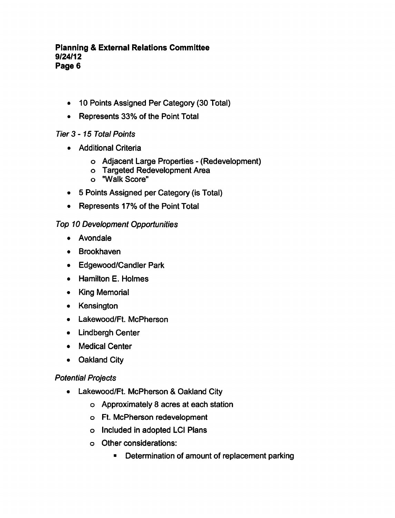## **Planning & External Relations Committee** 9/24/12 Page 6

- 10 Points Assigned Per Category (30 Total)
- Represents 33% of the Point Total

# Tier 3-15 Total Points

- **•** Additional Criteria
	- o Adjacent Large Properties (Redevelopment)
	- Targeted Redevelopment Area
	- "Walk Score"
- 5 Points Assigned per Category (is Total)
- Represents 17% of the Point Total

# Top 10 Development Opportunities

- Avondale
- Brookhaven
- Edgewood/Candler Park
- Hamilton E. Holmes
- King Memorial
- Kensington
- Lakewood/Ft. McPherson
- Lindbergh Center
- Medical Center
- Oakland City

# Potential Projects

- Lakewood/Ft. McPherson & Oakland City
	- Approximately acres at each station
	- Ft. McPherson redevelopment
	- o Included in adopted LCI Plans
	- Other considerations:
		- **Determination of amount of replacement parking**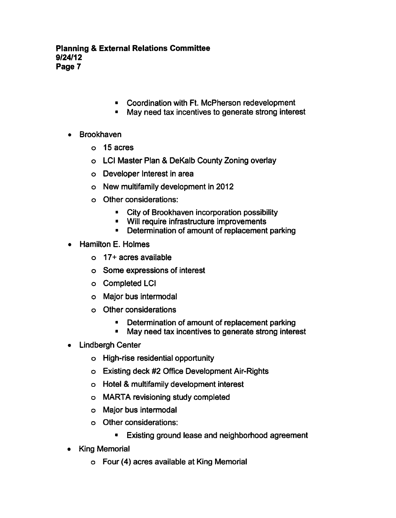- Coordination with Ft. McPherson redevelopment
- May need tax incentives to generate strong interest
- Brookhaven
	- 15 acres
	- o LCI Master Plan & DeKalb County Zoning overlay
	- Developer Interest in area
	- New multifamily development in 2012
	- Other considerations:
		- City of Brookhaven incorporation possibility
		- **Will require infrastructure improvements**
		- **Determination of amount of replacement parking**
- Hamilton E. Holmes
	- 17+acres available
	- Some expressions of interest
	- Completed LCI
	- Major bus intermodal
	- Other considerations
		- Determination of amount of replacement parking  $\blacksquare$
		- $\blacksquare$ May need tax incentives to generate strong interest
- Lindbergh Center
	- High-rise residential opportunity
	- Existing deck #2 Office Development Air-Rights
	- o Hotel & multifamily development interest
	- MARTA revisioning study completed
	- Major bus intermodal
	- Other considerations:
		- $\blacksquare$ Existing ground lease and neighborhood agreement
- King Memorial
	- Four (4) acres available at King Memorial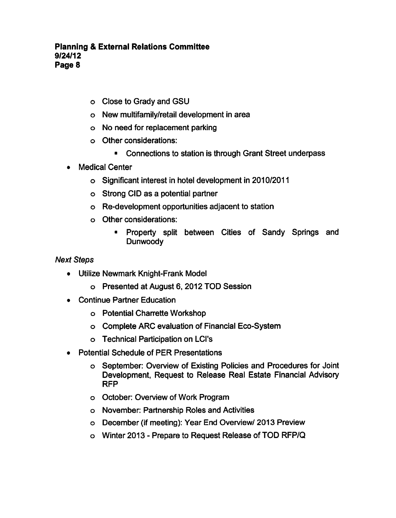- Close to Grady and GSU
- New multifamily/retail development in area
- No need for replacement parking
- Other considerations:
	- $\blacksquare$ Connections to station is through Grant Street underpass
- Medical Center
	- Significant interest in hotel development in 2010/2011
	- o Strong CID as a potential partner
	- Re-development opportunities adjacent to station
	- Other considerations:
		- Property split between Cities of Sandy Springs and Dunwoody

## Next Steps

- Utilize Newmark Knight-Frank Model
	- Presented at August 6, 2012 TOD Session
- Continue Partner Education  $\bullet$ 
	- Potential Charrette Workshop
	- Complete ARC evaluation of Financial Eco-System
	- Technical Participation on LCI's
- Potential Schedule of PER Presentations
	- September: Overview of Existing Policies and Procedures for Joint Development, Request to Release Real Estate Financial Advisory RFP
	- October: Overview of Work Program
	- o November: Partnership Roles and Activities
	- December (if meeting): Year End Overview/ 2013 Preview
	- o Winter 2013 Prepare to Request Release of TOD RFP/Q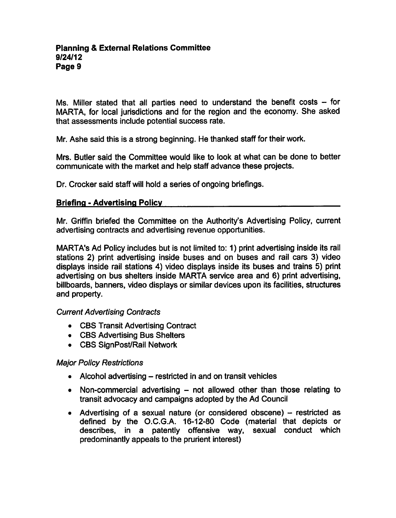Ms. Miller stated that all parties need to understand the benefit costs  $-$  for MARTA, for local jurisdictions and for the region and the economy. She asked that assessments include potential success rate.

Mr. Ashe said this is a strong beginning. He thanked staff for their work.

Mrs. Butler said the Committee would like to look at what can be done to better communicate with the market and help staff advance these projects.

Dr. Crocker said staff will hold a series of ongoing briefings.

# Briefing - Advertising Policy

Mr. Griffin briefed the Committee on the Authority's Advertising Policy, current advertising contracts and advertising revenue opportunities.

MARTA's Ad Policy includes but is not limited to: 1) print advertising inside its rail stations 2) print advertising inside buses and on buses and rail cars 3) video displays inside rail stations 4) video displays inside its buses and trains 5) print advertising on bus shelters inside MARTA service area and 6) print advertising, billboards, banners, video displays or similar devices upon its facilities, structures and property.

## Current Advertising Contracts

- CBS Transit Advertising Contract
- CBS Advertising Bus Shelters
- CBS SignPost/Rail Network

## Major Policy Restrictions

- Alcohol advertising  $-$  restricted in and on transit vehicles
- Non-commercial advertising  $-$  not allowed other than those relating to transit advocacy and campaigns adopted by the Ad Council
- Advertising of a sexual nature (or considered obscene)  $-$  restricted as defined by the O.C.G.A. 16-12-80 Code (material that depicts or describes, in a patently offensive way, sexual conduct which predominantly appeals to the prurient interest)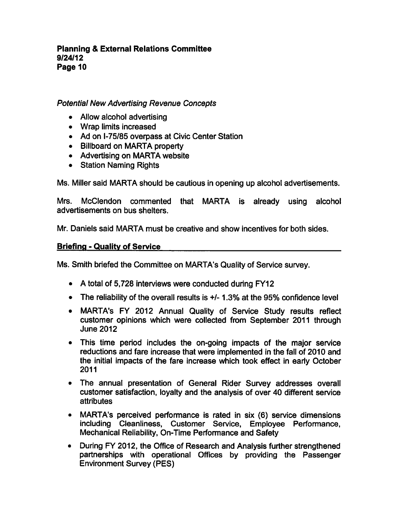# Potential New Advertising Revenue Concepts

- Allow alcohol advertising
- Wrap limits increased
- Ad on I-75/85 overpass at Civic Center Station
- Billboard on MARTA property
- Advertising on MARTA website
- Station Naming Rights

Ms. Miller said MARTA should be cautious in opening up alcohol advertisements.

Mrs. McClendon commented that MARTA is already using alcohol advertisements on bus shelters.

Mr. Daniels said MARTA must be creative and show incentives for both sides.

## Briefing - Quality of Service

Ms. Smith briefed the Committee on MARTA's Quality of Service survey.

- $\bullet$  A total of 5,728 interviews were conducted during FY12
- The reliability of the overall results is  $+/-1.3\%$  at the 95% confidence level
- MARTA's FY 2012 Annual Quality of Service Study results reflect customer opinions which were collected from September 2011 through June 2012
- This time period includes the on-going impacts of the major service reductions and fare increase that were implemented in the fall of 2010 and the initial impacts of the fare increase which took effect in early October 2011
- The annual presentation of General Rider Survey addresses overall customer satisfaction, loyalty and the analysis of over 40 different service attributes
- MARTA's perceived performance is rated in six (6) service dimensions including Cleanliness, Customer Service, Employee Performance, Mechanical Reliability, On-Time Performance and Safety
- During FY 2012, the Office of Research and Analysis further strengthened partnerships with operational Offices by providing the Passenger Environment Survey (PES)